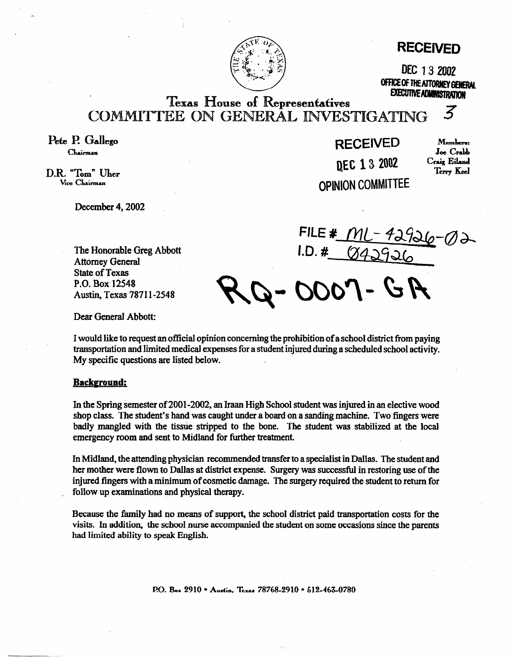

# **RECEIVED**

DEC 13 2002 OFFICE OF THE ATTORNEY GENERAL **EXECUTIVE ADMINISTRATION** 

**Texas House of Representatives** COMMITTEE ON GENERAL INVESTIGATING

Pete P. Gallego Chairman

D.R. "Tom" Uher Vice Chairman

December 4, 2002

The Honorable Greg Abbott Attorney General State of Texas P.O. Box 12548 Austin, Texas 78711-2548

**DEC 13 2002 OPINION COMMITTEE** 

**RECEIVED** Members: Joe Crabb<br>Craig Eiland Terry Keel

 $\boldsymbol{z}$ 

**FILE #**  $I.D.$ #

0007-GR

Dear GeneraI Abbott:

I would like to request an official opinion concerning the prohibition of a school district from paying transportation and limited medical expenses for a student injured during a scheduled school activity. My specific questions are listed below.

# **Backeround:**

In the Spring semester of 2001-2002, an Iraan High School student was injured in an elective **wood**  shop class. The student's hand was caught under a board on a sanding machine. Two fingers were badly mangled with the tissue stripped to the bone. The student was stabilized at the local emergency room and sent to Midland for further treatment.

In Midland, the attending physician recommended transfer to a specialist in Dallas. The student and her mother were flown to Dallas at district expense. Surgery was successful in restoring use of the injured fingers with a minimum of cosmetic damage. The surgery required the student to return for follow up examinations and physical therapy.

Because the family had no means of support, the school district paid transportation costs for the visits. In addition, the school nurse accompanied the student on some occasions since the parents had limited ability to speak English.

P.O. Box 2910 • Austin, Texas 78768-2910 • 512-463-0780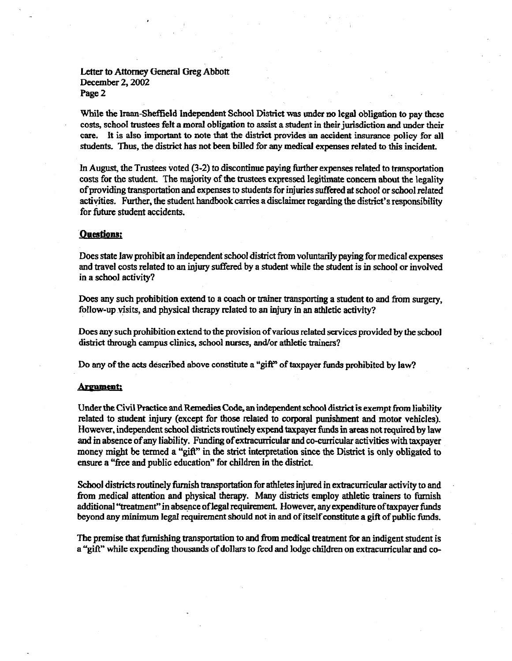# Letter to Attorney General Greg Abbott December 2,2002 Page 2

While the Iraan-Sheffield Independent School District was under no legal obligation to pay these costs, school trustees felt a moral obligation to assist a student in their jurisdiction and under their care. It is also important to note that the district provides an accident insurance policy for all students. Thus, the district has not been billed for any medicai expenses related to this incident.

In August, the Trustees voted  $(3-2)$  to discontinue paying further expenses related to transportation costs for the student. The majority of the trustees expressed legitimate concern about the legality of providing transportation and expenses to students for injuries stirred at school or school related activities. Further, the student handbook carries a disclaimer regarding the district's responsibility for future student accidents.

### **Questions:**

Does state law prohibit an independent school district **from** voluntarily paying for medical expenses and travel costs related to an injury suffered by a student while the student is in school or involved in a school activity?

Does any such prohibition extend to a coach or trainer transporting a student to and from surgery, follow-up visits, and physical therapy related to an injury in an athletic activity?

Does any such prohibition extend to the provision of various related services provided by the school district through campus clinics, school nurses, and/or athletic trainers?

Do any of the acts described above constitute a "gift" of taxpayer funds prohibited by law?

#### **Argument:**

Under the Civil Practice and Remedies Code, an independent school district is exempt from liability related to student injury (except for those related to corporal punishment and motor vehicles). However, independent school districts routinely expend taxpayer funds in areas not required by law and in absence of any liability. Funding of extracurricular and co-curricular activities with taxpayer money might be termed a "gift" in the strict interpretation since the District is only obligated to ensure a "free and public education" for children in the district.

School districts routinely furnish transportation for athletes injured in extracurricular activity to and from medical attention and physical therapy. Many districts employ athletic trainers to furnish additional "treatment"in absence of legal requirement. However, any expenditure oftaxpayer funds beyond any minimum legal requirement should not in and of itself constitute a gift of public funds.

The premise that furnishing transportation to and from medical treatment for an indigent student is a "gifk" while expending thousands of **dollars** to feed and lodge children on extracurricular and co-